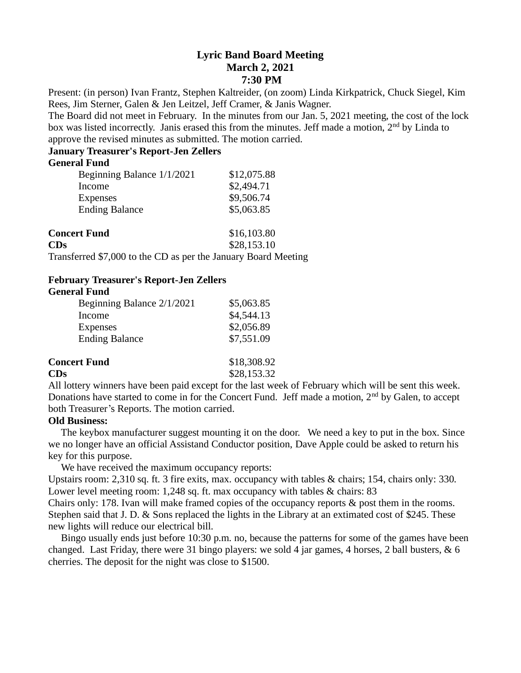# **Lyric Band Board Meeting March 2, 2021 7:30 PM**

Present: (in person) Ivan Frantz, Stephen Kaltreider, (on zoom) Linda Kirkpatrick, Chuck Siegel, Kim Rees, Jim Sterner, Galen & Jen Leitzel, Jeff Cramer, & Janis Wagner.

The Board did not meet in February. In the minutes from our Jan. 5, 2021 meeting, the cost of the lock box was listed incorrectly. Janis erased this from the minutes. Jeff made a motion, 2<sup>nd</sup> by Linda to approve the revised minutes as submitted. The motion carried.

## **January Treasurer's Report-Jen Zellers**

## **General Fund**

| Beginning Balance 1/1/2021            | \$12,075.88                |
|---------------------------------------|----------------------------|
| Income                                | \$2,494.71                 |
| <b>Expenses</b>                       | \$9,506.74                 |
| <b>Ending Balance</b>                 | \$5,063.85                 |
| <b>Concert Fund</b><br>$\mathbf{CDs}$ | \$16,103.80<br>\$28,153.10 |

Transferred \$7,000 to the CD as per the January Board Meeting

### **February Treasurer's Report-Jen Zellers General Fund**

| Beginning Balance 2/1/2021 | \$5,063.85  |
|----------------------------|-------------|
| Income                     | \$4,544.13  |
| <b>Expenses</b>            | \$2,056.89  |
| <b>Ending Balance</b>      | \$7,551.09  |
| <b>Concert Fund</b>        | \$18,308.92 |
| CDs                        | \$28,153.32 |

All lottery winners have been paid except for the last week of February which will be sent this week. Donations have started to come in for the Concert Fund. Jeff made a motion,  $2<sup>nd</sup>$  by Galen, to accept both Treasurer's Reports. The motion carried.

# **Old Business:**

 The keybox manufacturer suggest mounting it on the door. We need a key to put in the box. Since we no longer have an official Assistand Conductor position, Dave Apple could be asked to return his key for this purpose.

We have received the maximum occupancy reports:

Upstairs room: 2,310 sq. ft. 3 fire exits, max. occupancy with tables & chairs; 154, chairs only: 330. Lower level meeting room: 1,248 sq. ft. max occupancy with tables & chairs: 83

Chairs only: 178. Ivan will make framed copies of the occupancy reports & post them in the rooms. Stephen said that J. D. & Sons replaced the lights in the Library at an extimated cost of \$245. These new lights will reduce our electrical bill.

 Bingo usually ends just before 10:30 p.m. no, because the patterns for some of the games have been changed. Last Friday, there were 31 bingo players: we sold 4 jar games, 4 horses, 2 ball busters, & 6 cherries. The deposit for the night was close to \$1500.